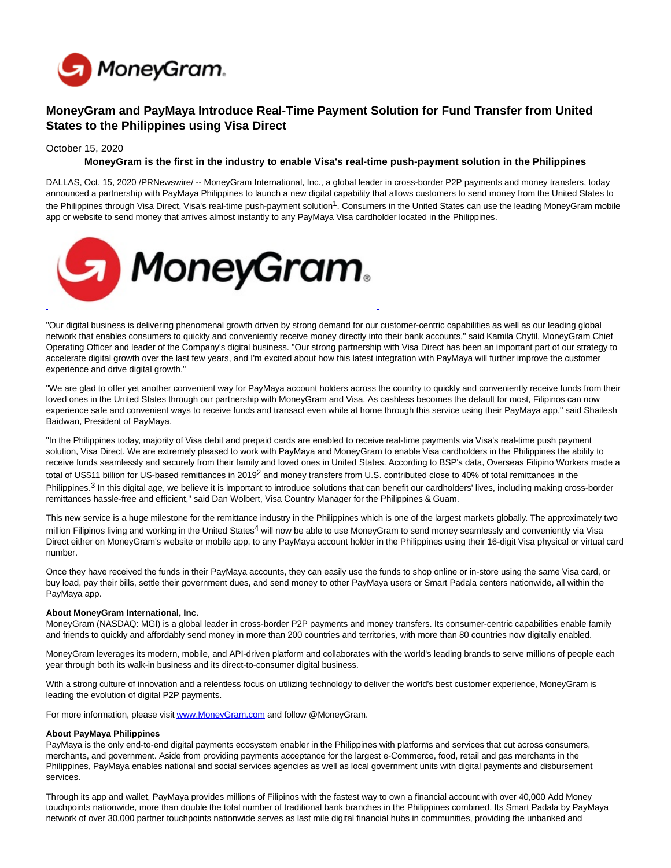

# **MoneyGram and PayMaya Introduce Real-Time Payment Solution for Fund Transfer from United States to the Philippines using Visa Direct**

#### October 15, 2020

### **MoneyGram is the first in the industry to enable Visa's real-time push-payment solution in the Philippines**

DALLAS, Oct. 15, 2020 /PRNewswire/ -- MoneyGram International, Inc., a global leader in cross-border P2P payments and money transfers, today announced a partnership with PayMaya Philippines to launch a new digital capability that allows customers to send money from the United States to the Philippines through Visa Direct, Visa's real-time push-payment solution<sup>1</sup>. Consumers in the United States can use the leading MoneyGram mobile app or website to send money that arrives almost instantly to any PayMaya Visa cardholder located in the Philippines.



"Our digital business is delivering phenomenal growth driven by strong demand for our customer-centric capabilities as well as our leading global network that enables consumers to quickly and conveniently receive money directly into their bank accounts," said Kamila Chytil, MoneyGram Chief Operating Officer and leader of the Company's digital business. "Our strong partnership with Visa Direct has been an important part of our strategy to accelerate digital growth over the last few years, and I'm excited about how this latest integration with PayMaya will further improve the customer experience and drive digital growth."

"We are glad to offer yet another convenient way for PayMaya account holders across the country to quickly and conveniently receive funds from their loved ones in the United States through our partnership with MoneyGram and Visa. As cashless becomes the default for most, Filipinos can now experience safe and convenient ways to receive funds and transact even while at home through this service using their PayMaya app," said Shailesh Baidwan, President of PayMaya.

"In the Philippines today, majority of Visa debit and prepaid cards are enabled to receive real-time payments via Visa's real-time push payment solution, Visa Direct. We are extremely pleased to work with PayMaya and MoneyGram to enable Visa cardholders in the Philippines the ability to receive funds seamlessly and securely from their family and loved ones in United States. According to BSP's data, Overseas Filipino Workers made a total of US\$11 billion for US-based remittances in 2019<sup>2</sup> and money transfers from U.S. contributed close to 40% of total remittances in the Philippines.<sup>3</sup> In this digital age, we believe it is important to introduce solutions that can benefit our cardholders' lives, including making cross-border remittances hassle-free and efficient," said Dan Wolbert, Visa Country Manager for the Philippines & Guam.

This new service is a huge milestone for the remittance industry in the Philippines which is one of the largest markets globally. The approximately two million Filipinos living and working in the United States<sup>4</sup> will now be able to use MoneyGram to send money seamlessly and conveniently via Visa Direct either on MoneyGram's website or mobile app, to any PayMaya account holder in the Philippines using their 16-digit Visa physical or virtual card number.

Once they have received the funds in their PayMaya accounts, they can easily use the funds to shop online or in-store using the same Visa card, or buy load, pay their bills, settle their government dues, and send money to other PayMaya users or Smart Padala centers nationwide, all within the PayMaya app.

### **About MoneyGram International, Inc.**

MoneyGram (NASDAQ: MGI) is a global leader in cross-border P2P payments and money transfers. Its consumer-centric capabilities enable family and friends to quickly and affordably send money in more than 200 countries and territories, with more than 80 countries now digitally enabled.

MoneyGram leverages its modern, mobile, and API-driven platform and collaborates with the world's leading brands to serve millions of people each year through both its walk-in business and its direct-to-consumer digital business.

With a strong culture of innovation and a relentless focus on utilizing technology to deliver the world's best customer experience, MoneyGram is leading the evolution of digital P2P payments.

For more information, please visi[t www.MoneyGram.com a](http://www.moneygram.com/)nd follow @MoneyGram.

#### **About PayMaya Philippines**

PayMaya is the only end-to-end digital payments ecosystem enabler in the Philippines with platforms and services that cut across consumers, merchants, and government. Aside from providing payments acceptance for the largest e-Commerce, food, retail and gas merchants in the Philippines, PayMaya enables national and social services agencies as well as local government units with digital payments and disbursement services.

Through its app and wallet, PayMaya provides millions of Filipinos with the fastest way to own a financial account with over 40,000 Add Money touchpoints nationwide, more than double the total number of traditional bank branches in the Philippines combined. Its Smart Padala by PayMaya network of over 30,000 partner touchpoints nationwide serves as last mile digital financial hubs in communities, providing the unbanked and